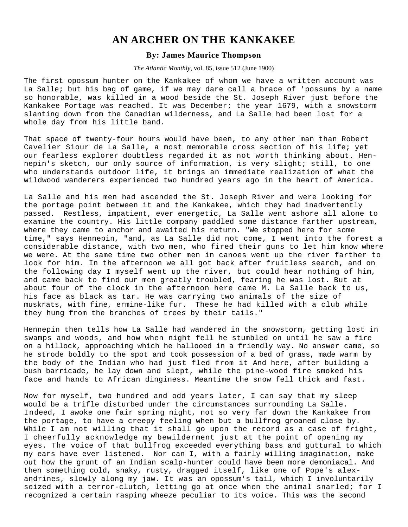## **AN ARCHER ON THE KANKAKEE**

## **By: James Maurice Thompson**

## *The Atlantic Monthly*, vol. 85, issue 512 (June 1900)

The first opossum hunter on the Kankakee of whom we have a written account was La Salle; but his bag of game, if we may dare call a brace of 'possums by a name so honorable, was killed in a wood beside the St. Joseph River just before the Kankakee Portage was reached. It was December; the year 1679, with a snowstorm slanting down from the Canadian wilderness, and La Salle had been lost for a whole day from his little band.

That space of twenty-four hours would have been, to any other man than Robert Cavelier Siour de La Salle, a most memorable cross section of his life; yet our fearless explorer doubtless regarded it as not worth thinking about. Hennepin's sketch, our only source of information, is very slight; still, to one who understands outdoor life, it brings an immediate realization of what the wildwood wanderers experienced two hundred years ago in the heart of America.

La Salle and his men had ascended the St. Joseph River and were looking for the portage point between it and the Kankakee, which they had inadvertently passed. Restless, impatient, ever energetic, La Salle went ashore all alone to examine the country. His little company paddled some distance farther upstream, where they came to anchor and awaited his return. "We stopped here for some time," says Hennepin, "and, as La Salle did not come, I went into the forest a considerable distance, with two men, who fired their guns to let him know where we were. At the same time two other men in canoes went up the river farther to look for him. In the afternoon we all got back after fruitless search, and on the following day I myself went up the river, but could hear nothing of him, and came back to find our men greatly troubled, fearing he was lost. But at about four of the clock in the afternoon here came M. La Salle back to us, his face as black as tar. He was carrying two animals of the size of muskrats, with fine, ermine-like fur. These he had killed with a club while they hung from the branches of trees by their tails."

Hennepin then tells how La Salle had wandered in the snowstorm, getting lost in swamps and woods, and how when night fell he stumbled on until he saw a fire on a hillock, approaching which he hallooed in a friendly way. No answer came, so he strode boldly to the spot and took possession of a bed of grass, made warm by the body of the Indian who had just fled from it And here, after building a bush barricade, he lay down and slept, while the pine-wood fire smoked his face and hands to African dinginess. Meantime the snow fell thick and fast.

Now for myself, two hundred and odd years later, I can say that my sleep would be a trifle disturbed under the circumstances surrounding La Salle. Indeed, I awoke one fair spring night, not so very far down the Kankakee from the portage, to have a creepy feeling when but a bullfrog groaned close by. While I am not willing that it shall go upon the record as a case of fright, I cheerfully acknowledge my bewilderment just at the point of opening my eyes. The voice of that bullfrog exceeded everything bass and guttural to which my ears have ever listened. Nor can I, with a fairly willing imagination, make out how the grunt of an Indian scalp-hunter could have been more demoniacal. And then something cold, snaky, rusty, dragged itself, like one of Pope's alexandrines, slowly along my jaw. It was an opossum's tail, which I involuntarily seized with a terror-clutch, letting go at once when the animal snarled; for I recognized a certain rasping wheeze peculiar to its voice. This was the second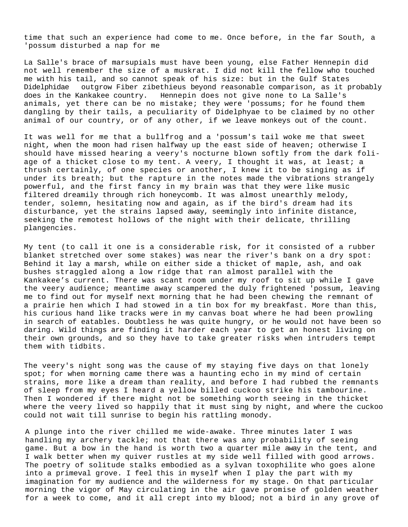time that such an experience had come to me. Once before, in the far South, a 'possum disturbed a nap for me

La Salle's brace of marsupials must have been young, else Father Hennepin did not well remember the size of a muskrat. I did not kill the fellow who touched me with his tail, and so cannot speak of his size: but in the Gulf States outgrow Fiber zibethieus beyond reasonable comparison, as it probably does in the Kankakee country. Hennepin does not give none to La Salle's animals, yet there can be no mistake; they were 'possums; for he found them dangling by their tails, a peculiarity of Didelphyae to be claimed by no other animal of our country, or of any other, if we leave monkeys out of the count.

It was well for me that a bullfrog and a 'possum's tail woke me that sweet night, when the moon had risen halfway up the east side of heaven; otherwise I should have missed hearing a veery's nocturne blown softly from the dark foliage of a thicket close to my tent. A veery, I thought it was, at least; a thrush certainly, of one species or another, I knew it to be singing as if under its breath; but the rapture in the notes made the vibrations strangely powerful, and the first fancy in my brain was that they were like music filtered dreamily through rich honeycomb. It was almost unearthly melody, tender, solemn, hesitating now and again, as if the bird's dream had its disturbance, yet the strains lapsed away, seemingly into infinite distance, seeking the remotest hollows of the night with their delicate, thrilling plangencies.

My tent (to call it one is a considerable risk, for it consisted of a rubber blanket stretched over some stakes) was near the river's bank on a dry spot: Behind it lay a marsh, while on either side a thicket of maple, ash, and oak bushes straggled along a low ridge that ran almost parallel with the Kankakee's current. There was scant room under my roof to sit up while I gave the veery audience; meantime away scampered the duly frightened 'possum, leaving me to find out for myself next morning that he had been chewing the remnant of a prairie hen which I had stowed in a tin box for my breakfast. More than this, his curious hand like tracks were in my canvas boat where he had been prowling in search of eatables. Doubtless he was quite hungry, or he would not have been so daring. Wild things are finding it harder each year to get an honest living on their own grounds, and so they have to take greater risks when intruders tempt them with tidbits.

The veery's night song was the cause of my staying five days on that lonely spot; for when morning came there was a haunting echo in my mind of certain strains, more like a dream than reality, and before I had rubbed the remnants of sleep from my eyes I heard a yellow billed cuckoo strike his tambourine. Then I wondered if there might not be something worth seeing in the thicket where the veery lived so happily that it must sing by night, and where the cuckoo could not wait till sunrise to begin his rattling monody.

A plunge into the river chilled me wide-awake. Three minutes later I was handling my archery tackle; not that there was any probability of seeing game. But a bow in the hand is worth two a quarter mile away in the tent, and I walk better when my quiver rustles at my side well filled with good arrows. The poetry of solitude stalks embodied as a sylvan toxophilite who goes alone into a primeval grove. I feel this in myself when I play the part with my imagination for my audience and the wilderness for my stage. On that particular morning the vigor of May circulating in the air gave promise of golden weather for a week to come, and it all crept into my blood; not a bird in any grove of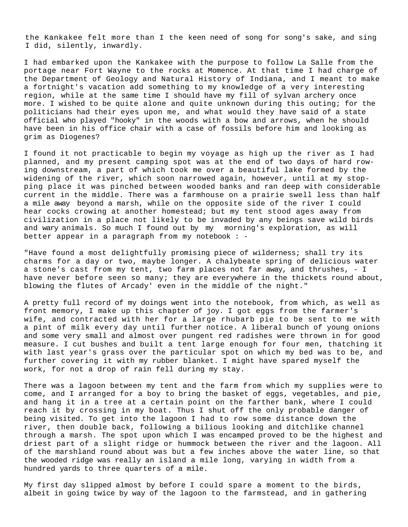the Kankakee felt more than I the keen need of song for song's sake, and sing I did, silently, inwardly.

I had embarked upon the Kankakee with the purpose to follow La Salle from the portage near Fort Wayne to the rocks at Momence. At that time I had charge of the Department of Geology and Natural History of Indiana, and I meant to make a fortnight's vacation add something to my knowledge of a very interesting region, while at the same time I should have my fill of sylvan archery once more. I wished to be quite alone and quite unknown during this outing; for the politicians had their eyes upon me, and what would they have said of a state official who played "hooky" in the woods with a bow and arrows, when he should have been in his office chair with a case of fossils before him and looking as grim as Diogenes?

I found it not practicable to begin my voyage as high up the river as I had planned, and my present camping spot was at the end of two days of hard rowing downstream, a part of which took me over a beautiful lake formed by the widening of the river, which soon narrowed again, however, until at my stopping place it was pinched between wooded banks and ran deep with considerable current in the middle. There was a farmhouse on a prairie swell less than half a mile away beyond a marsh, while on the opposite side of the river I could hear cocks crowing at another homestead; but my tent stood ages away from civilization in a place not likely to be invaded by any beings save wild birds and wary animals. So much I found out by my morning's exploration, as will better appear in a paragraph from my notebook : -

"Have found a most delightfully promising piece of wilderness; shall try its charms for a day or two, maybe longer. A chalybeate spring of delicious water a stone's cast from my tent, two farm places not far away, and thrushes, - I have never before seen so many; they are everywhere in the thickets round about, blowing the flutes of Arcady' even in the middle of the night."

A pretty full record of my doings went into the notebook, from which, as well as front memory, I make up this chapter of joy. I got eggs from the farmer's wife, and contracted with her for a large rhubarb pie to be sent to me with a pint of milk every day until further notice. A liberal bunch of young onions and some very small and almost over pungent red radishes were thrown in for good measure. I cut bushes and built a tent large enough for four men, thatching it with last year's grass over the particular spot on which my bed was to be, and further covering it with my rubber blanket. I might have spared myself the work, for not a drop of rain fell during my stay.

There was a lagoon between my tent and the farm from which my supplies were to come, and I arranged for a boy to bring the basket of eggs, vegetables, and pie, and hang it in a tree at a certain point on the farther bank, where I could reach it by crossing in my boat. Thus I shut off the only probable danger of being visited. To get into the lagoon I had to row some distance down the river, then double back, following a bilious looking and ditchlike channel through a marsh. The spot upon which I was encamped proved to be the highest and driest part of a slight ridge or hummock between the river and the lagoon. All of the marshland round about was but a few inches above the water line, so that the wooded ridge was really an island a mile long, varying in width from a hundred yards to three quarters of a mile.

My first day slipped almost by before I could spare a moment to the birds, albeit in going twice by way of the lagoon to the farmstead, and in gathering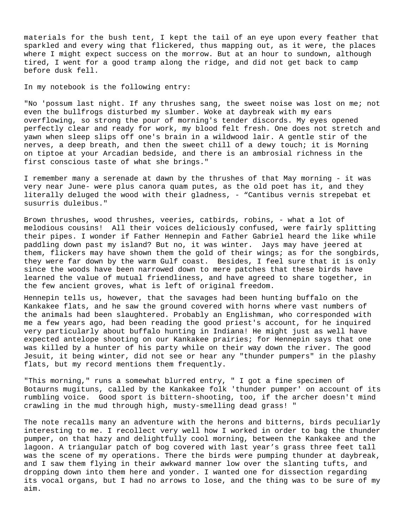materials for the bush tent, I kept the tail of an eye upon every feather that sparkled and every wing that flickered, thus mapping out, as it were, the places where I might expect success on the morrow. But at an hour to sundown, although tired, I went for a good tramp along the ridge, and did not get back to camp before dusk fell.

In my notebook is the following entry:

"No 'possum last night. If any thrushes sang, the sweet noise was lost on me; not even the bullfrogs disturbed my slumber. Woke at daybreak with my ears overflowing, so strong the pour of morning's tender discords. My eyes opened perfectly clear and ready for work, my blood felt fresh. One does not stretch and yawn when sleep slips off one's brain in a wildwood lair. A gentle stir of the nerves, a deep breath, and then the sweet chill of a dewy touch; it is Morning on tiptoe at your Arcadian bedside, and there is an ambrosial richness in the first conscious taste of what she brings."

I remember many a serenade at dawn by the thrushes of that May morning - it was very near June- were plus canora quam putes, as the old poet has it, and they literally deluged the wood with their gladness, - "Cantibus vernis strepebat et susurris duleibus."

Brown thrushes, wood thrushes, veeries, catbirds, robins, - what a lot of melodious cousins! All their voices deliciously confused, were fairly splitting their pipes. I wonder if Father Hennepin and Father Gabriel heard the like while paddling down past my island? But no, it was winter. Jays may have jeered at them, flickers may have shown them the gold of their wings; as for the songbirds, they were far down by the warm Gulf coast. Besides, I feel sure that it is only since the woods have been narrowed down to mere patches that these birds have learned the value of mutual friendliness, and have agreed to share together, in the few ancient groves, what is left of original freedom.

Hennepin tells us, however, that the savages had been hunting buffalo on the Kankakee flats, and he saw the ground covered with horns where vast numbers of the animals had been slaughtered. Probably an Englishman, who corresponded with me a few years ago, had been reading the good priest's account, for he inquired very particularly about buffalo hunting in Indiana! He might just as well have expected antelope shooting on our Kankakee prairies; for Hennepin says that one was killed by a hunter of his party while on their way down the river. The good Jesuit, it being winter, did not see or hear any "thunder pumpers" in the plashy flats, but my record mentions them frequently.

"This morning," runs a somewhat blurred entry, " I got a fine specimen of Botaurns mugituns, called by the Kankakee folk 'thunder pumper' on account of its rumbling voice. Good sport is bittern-shooting, too, if the archer doesn't mind crawling in the mud through high, musty-smelling dead grass! "

The note recalls many an adventure with the herons and bitterns, birds peculiarly interesting to me. I recollect very well how I worked in order to bag the thunder pumper, on that hazy and delightfully cool morning, between the Kankakee and the lagoon. A triangular patch of bog covered with last year's grass three feet tall was the scene of my operations. There the birds were pumping thunder at daybreak, and I saw them flying in their awkward manner low over the slanting tufts, and dropping down into them here and yonder. I wanted one for dissection regarding its vocal organs, but I had no arrows to lose, and the thing was to be sure of my aim.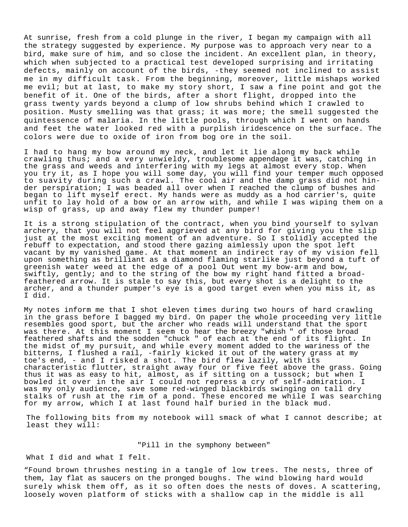At sunrise, fresh from a cold plunge in the river, I began my campaign with all the strategy suggested by experience. My purpose was to approach very near to a bird, make sure of him, and so close the incident. An excellent plan, in theory, which when subjected to a practical test developed surprising and irritating defects, mainly on account of the birds, -they seemed not inclined to assist me in my difficult task. From the beginning, moreover, little mishaps worked me evil; but at last, to make my story short, I saw a fine point and got the benefit of it. One of the birds, after a short flight, dropped into the grass twenty yards beyond a clump of low shrubs behind which I crawled to position. Musty smelling was that grass; it was more; the smell suggested the quintessence of malaria. In the little pools, through which I went on hands and feet the water looked red with a purplish iridescence on the surface. The colors were due to oxide of iron from bog ore in the soil.

I had to hang my bow around my neck, and let it lie along my back while crawling thus; and a very unwieldy, troublesome appendage it was, catching in the grass and weeds and interfering with my legs at almost every stop. When you try it, as I hope you will some day, you will find your temper much opposed<br>to suavity during such a crawl. The cool air and the damp grass did not hinder perspiration; I was beaded all over when I reached the clump of bushes and began to lift myself erect. My hands were as muddy as a hod carrier's, quite unfit to lay hold of a bow or an arrow with, and while I was wiping them on a wisp of grass, up and away flew my thunder pumper!

It is a strong stipulation of the contract, when you bind yourself to sylvan archery, that you will not feel aggrieved at any bird for giving you the slip just at the most exciting moment of an adventure. So I stolidly accepted the rebuff to expectation, and stood there gazing aimlessly upon the spot left vacant by my vanished game. At that moment an indirect ray of my vision fell upon something as brilliant as a diamond flaming starlike just beyond a tuft of greenish water weed at the edge of a pool Out went my bow-arm and bow,<br>swiftly, gently; and to the string of the bow my right hand fitted a broadfeathered arrow. It is stale to say this, but every shot is a delight to the archer, and a thunder pumper's eye is a good target even when you miss it, as I did.

My notes inform me that I shot eleven times during two hours of hard crawling in the grass before I bagged my bird. On paper the whole proceeding very little resembles good sport, but the archer who reads will understand that the sport was there. At this moment I seem to hear the breezy "whish " of those broad feathered shafts and the sodden "chuck " of each at the end of its flight. In the midst of my pursuit, and while every moment added to the wariness of the bitterns, I flushed a rail, -fairly kicked it out of the watery grass at my toe's end, - and I risked a shot. The bird flew lazily, with its characteristic flutter, straight away four or five feet above the grass. Going thus it was as easy to hit, almost, as if sitting on a tussock; but when I bowled it over in the air I could not repress a cry of self-admiration. I was my only audience, save some red-winged blackbirds swinging on tall dry stalks of rush at the rim of a pond. These encored me while I was searching for my arrow, which I at last found half buried in the black mud.

The following bits from my notebook will smack of what I cannot describe; at least they will:

## "Pill in the symphony between"

What I did and what I felt.

"Found brown thrushes nesting in a tangle of low trees. The nests, three of them, lay flat as saucers on the pronged boughs. The wind blowing hard would surely whisk them off, as it so often does the nests of doves. A scattering, loosely woven platform of sticks with a shallow cap in the middle is all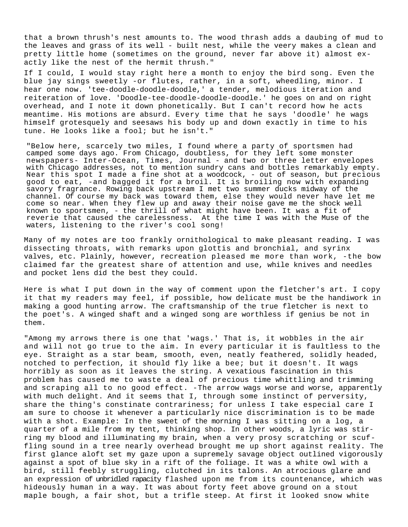that a brown thrush's nest amounts to. The wood thrash adds a daubing of mud to the leaves and grass of its well - built nest, while the veery makes a clean and pretty little home (sometimes on the ground, never far above it) almost exactly like the nest of the hermit thrush."

If I could, I would stay right here a month to enjoy the bird song. Even the blue jay sings sweetly -or flutes, rather, in a soft, wheedling, minor. I hear one now. 'tee-doodle-doodle-doodle,' a tender, melodious iteration and reiteration of love. 'Doodle-tee-doodle-doodle-doodle.' he goes on and on right overhead, and I note it down phonetically. But I can't record how he acts meantime. His motions are absurd. Every time that he says 'doodle' he wags himself grotesquely and seesaws his body up and down exactly in time to his tune. He looks like a fool; but he isn't."

"Below here, scarcely two miles, I found where a party of sportsmen had camped some days ago. From Chicago, doubtless, for they left some monster newspapers- Inter-Ocean, Times, Journal - and two or three letter envelopes with Chicago addresses, not to mention sundry cans and bottles remarkably empty. Near this spot I made a fine shot at a woodcock, - out of season, but precious good to eat, -and bagged it for a broil. It is broiling now with expanding savory fragrance. Rowing back upstream I met two summer ducks midway of the channel. Of course my back was toward them, else they would never have let me come so near. When they flew up and away their noise gave me the shock well known to sportsmen, - the thrill of what might have been. It was a fit of reverie that caused the carelessness. At the time I was with the Muse of the waters, listening to the river's cool song!

Many of my notes are too frankly ornithological to make pleasant reading. I was dissecting throats, with remarks upon glottis and bronchial, and syrinx valves, etc. Plainly, however, recreation pleased me more than work, -the bow claimed far the greatest share of attention and use, while knives and needles and pocket lens did the best they could.

Here is what I put down in the way of comment upon the fletcher's art. I copy it that my readers may feel, if possible, how delicate must be the handiwork in making a good hunting arrow. The craftsmanship of the true fletcher is next to the poet's. A winged shaft and a winged song are worthless if genius be not in them.

"Among my arrows there is one that 'wags.' That is, it wobbles in the air and will not go true to the aim. In every particular it is faultless to the eye. Straight as a star beam, smooth, even, neatly feathered, solidly headed, notched to perfection, it should fly like a bee; but it doesn't. It wags horribly as soon as it leaves the string. A vexatious fascination in this problem has caused me to waste a deal of precious time whittling and trimming and scraping all to no good effect. -The arrow wags worse and worse, apparently with much delight. And it seems that I, through some instinct of perversity, share the thing's constinate contrariness; for unless I take especial care I am sure to choose it whenever a particularly nice discrimination is to be made with a shot. Example: In the sweet of the morning I was sitting on a log, a quarter of a mile from my tent, thinking shop. In other woods, a lyric was stirring my blood and illuminating my brain, when a very prosy scratching or scuffling sound in a tree nearly overhead brought me up short against reality. The first glance aloft set my gaze upon a supremely savage object outlined vigorously against a spot of blue sky in a rift of the foliage. It was a white owl with a bird, still feebly struggling, clutched in its talons. An atrocious glare and an expression of unbridled rapacity flashed upon me from its countenance, which was hideously human in a way. It was about forty feet above ground on a stout maple bough, a fair shot, but a trifle steep. At first it looked snow white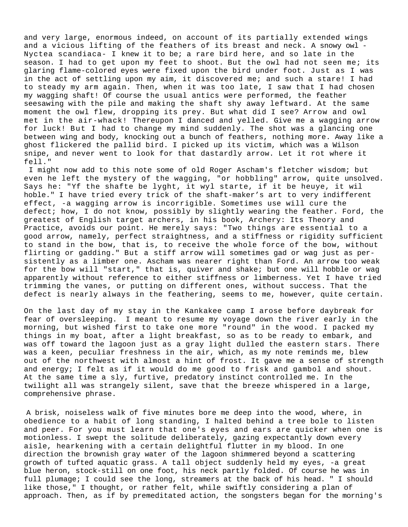and very large, enormous indeed, on account of its partially extended wings and a vicious lifting of the feathers of its breast and neck. A snowy owl - Nyctea scandiaca- I knew it to be; a rare bird here, and so late in the season. I had to get upon my feet to shoot. But the owl had not seen me; its glaring flame-colored eyes were fixed upon the bird under foot. Just as I was in the act of settling upon my aim, it discovered me; and such a stare! I had to steady my arm again. Then, when it was too late, I saw that I had chosen my wagging shaft! Of course the usual antics were performed, the feather seesawing with the pile and making the shaft shy away leftward. At the same moment the owl flew, dropping its prey. But what did I see? Arrow and owl met in the air-whack! Thereupon I danced and yelled. Give me a wagging arrow for luck! But I had to change my mind suddenly. The shot was a glancing one between wing and body, knocking out a bunch of feathers, nothing more. Away like a ghost flickered the pallid bird. I picked up its victim, which was a Wilson snipe, and never went to look for that dastardly arrow. Let it rot where it fell."

I might now add to this note some of old Roger Ascham's fletcher wisdom; but even he left the mystery of the wagging, "or hobbling" arrow, quite unsolved. Says he: "Yf the shafte be lyght, it wyl starte, if it be heuye, it wil hoble." I have tried every trick of the shaft-maker's art to very indifferent effect, -a wagging arrow is incorrigible. Sometimes use will cure the defect; how, I do not know, possibly by slightly wearing the feather. Ford, the greatest of English target archers, in his book, Archery: Its Theory and Practice, avoids our point. He merely says: "Two things are essential to a good arrow, namely, perfect straightness, and a stiffness or rigidity sufficient to stand in the bow, that is, to receive the whole force of the bow, without flirting or gadding." But a stiff arrow will sometimes gad or wag just as persistently as a limber one. Ascham was nearer right than Ford. An arrow too weak for the bow will "start," that is, quiver and shake; but one will hobble or wag apparently without reference to either stiffness or limberness. Yet I have tried trimming the vanes, or putting on different ones, without success. That the defect is nearly always in the feathering, seems to me, however, quite certain.

On the last day of my stay in the Kankakee camp I arose before daybreak for fear of oversleeping. I meant to resume my voyage down the river early in the morning, but wished first to take one more "round" in the wood. I packed my things in my boat, after a light breakfast, so as to be ready to embark, and was off toward the lagoon just as a gray light dulled the eastern stars. There was a keen, peculiar freshness in the air, which, as my note reminds me, blew out of the northwest with almost a hint of frost. It gave me a sense of strength and energy; I felt as if it would do me good to frisk and gambol and shout. At the same time a sly, furtive, predatory instinct controlled me. In the twilight all was strangely silent, save that the breeze whispered in a large, comprehensive phrase.

A brisk, noiseless walk of five minutes bore me deep into the wood, where, in obedience to a habit of long standing, I halted behind a tree bole to listen and peer. For you must learn that one's eyes and ears are quicker when one is motionless. I swept the solitude deliberately, gazing expectantly down every aisle, hearkening with a certain delightful flutter in my blood. In one direction the brownish gray water of the lagoon shimmered beyond a scattering growth of tufted aquatic grass. A tall object suddenly held my eyes, -a great blue heron, stock-still on one foot, his neck partly folded. Of course he was in full plumage; I could see the long, streamers at the back of his head. " I should like those," I thought, or rather felt, while swiftly considering a plan of approach. Then, as if by premeditated action, the songsters began for the morning's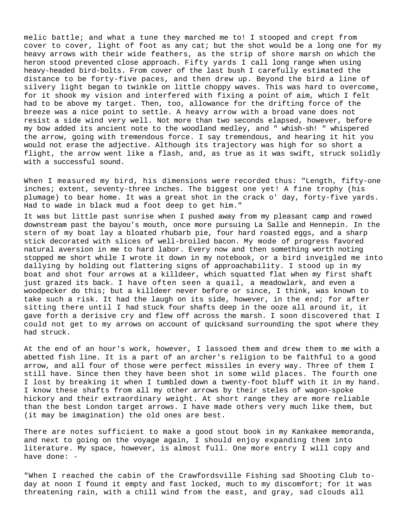melic battle; and what a tune they marched me to! I stooped and crept from cover to cover, light of foot as any cat; but the shot would be a long one for my heavy arrows with their wide feathers, as the strip of shore marsh on which the heron stood prevented close approach. Fifty yards I call long range when using heavy-headed bird-bolts. From cover of the last bush I carefully estimated the distance to be forty-five paces, and then drew up. Beyond the bird a line of silvery light began to twinkle on little choppy waves. This was hard to overcome, for it shook my vision and interfered with fixing a point of aim, which I felt had to be above my target. Then, too, allowance for the drifting force of the breeze was a nice point to settle. A heavy arrow with a broad vane does not resist a side wind very well. Not more than two seconds elapsed, however, before my bow added its ancient note to the woodland medley, and " whish-sh! " whispered the arrow, going with tremendous force. I say tremendous, and hearing it hit you would not erase the adjective. Although its trajectory was high for so short a flight, the arrow went like a flash, and, as true as it was swift, struck solidly with a successful sound.

When I measured my bird, his dimensions were recorded thus: "Length, fifty-one inches; extent, seventy-three inches. The biggest one yet! A fine trophy (his plumage) to bear home. It was a great shot in the crack o' day, forty-five yards. Had to wade in black mud a foot deep to get him."

It was but little past sunrise when I pushed away from my pleasant camp and rowed downstream past the bayou's mouth, once more pursuing La Salle and Hennepin. In the stern of my boat lay a bloated rhubarb pie, four hard roasted eggs, and a sharp stick decorated with slices of well-broiled bacon. My mode of progress favored natural aversion in me to hard labor. Every now and then something worth noting stopped me short while I wrote it down in my notebook, or a bird inveigled me into dallying by holding out flattering signs of approachability. I stood up in my boat and shot four arrows at a killdeer, which squatted flat when my first shaft just grazed its back. I have often seen a quail, a meadowlark, and even a woodpecker do this; but a killdeer never before or since, I think, was known to take such a risk. It had the laugh on its side, however, in the end; for after sitting there until I had stuck four shafts deep in the ooze all around it, it gave forth a derisive cry and flew off across the marsh. I soon discovered that I could not get to my arrows on account of quicksand surrounding the spot where they had struck.

At the end of an hour's work, however, I lassoed them and drew them to me with a abetted fish line. It is a part of an archer's religion to be faithful to a good arrow, and all four of those were perfect missiles in every way. Three of them I still have. Since then they have been shot in some wild places. The fourth one I lost by breaking it when I tumbled down a twenty-foot bluff with it in my hand. I know these shafts from all my other arrows by their steles of wagon-spoke hickory and their extraordinary weight. At short range they are more reliable than the best London target arrows. I have made others very much like them, but (it may be imagination) the old ones are best.

There are notes sufficient to make a good stout book in my Kankakee memoranda, and next to going on the voyage again, I should enjoy expanding them into literature. My space, however, is almost full. One more entry I will copy and have done: -

"When I reached the cabin of the Crawfordsville Fishing sad Shooting Club today at noon I found it empty and fast locked, much to my discomfort; for it was threatening rain, with a chill wind from the east, and gray, sad clouds all